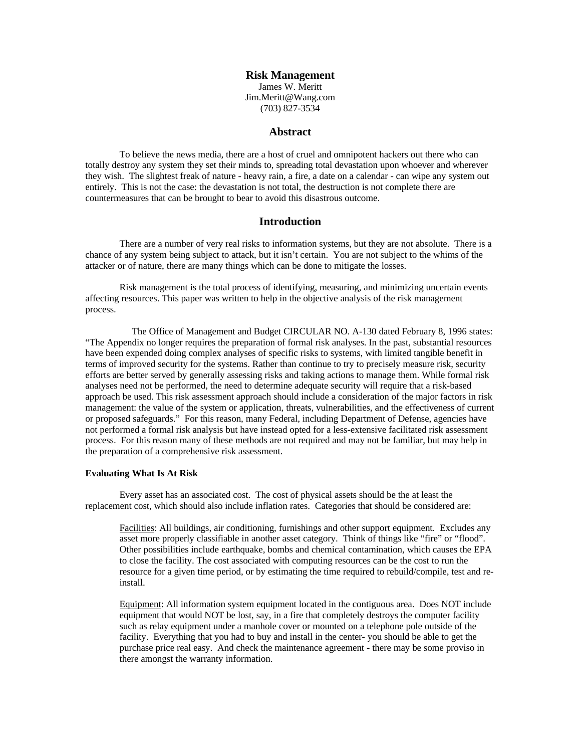**Risk Management** James W. Meritt Jim.Meritt@Wang.com (703) 827-3534

#### **Abstract**

To believe the news media, there are a host of cruel and omnipotent hackers out there who can totally destroy any system they set their minds to, spreading total devastation upon whoever and wherever they wish. The slightest freak of nature - heavy rain, a fire, a date on a calendar - can wipe any system out entirely. This is not the case: the devastation is not total, the destruction is not complete there are countermeasures that can be brought to bear to avoid this disastrous outcome.

#### **Introduction**

There are a number of very real risks to information systems, but they are not absolute. There is a chance of any system being subject to attack, but it isn't certain. You are not subject to the whims of the attacker or of nature, there are many things which can be done to mitigate the losses.

Risk management is the total process of identifying, measuring, and minimizing uncertain events affecting resources. This paper was written to help in the objective analysis of the risk management process.

 The Office of Management and Budget CIRCULAR NO. A-130 dated February 8, 1996 states: "The Appendix no longer requires the preparation of formal risk analyses. In the past, substantial resources have been expended doing complex analyses of specific risks to systems, with limited tangible benefit in terms of improved security for the systems. Rather than continue to try to precisely measure risk, security efforts are better served by generally assessing risks and taking actions to manage them. While formal risk analyses need not be performed, the need to determine adequate security will require that a risk-based approach be used. This risk assessment approach should include a consideration of the major factors in risk management: the value of the system or application, threats, vulnerabilities, and the effectiveness of current or proposed safeguards." For this reason, many Federal, including Department of Defense, agencies have not performed a formal risk analysis but have instead opted for a less-extensive facilitated risk assessment process. For this reason many of these methods are not required and may not be familiar, but may help in the preparation of a comprehensive risk assessment.

#### **Evaluating What Is At Risk**

Every asset has an associated cost. The cost of physical assets should be the at least the replacement cost, which should also include inflation rates. Categories that should be considered are:

Facilities: All buildings, air conditioning, furnishings and other support equipment. Excludes any asset more properly classifiable in another asset category. Think of things like "fire" or "flood". Other possibilities include earthquake, bombs and chemical contamination, which causes the EPA to close the facility. The cost associated with computing resources can be the cost to run the resource for a given time period, or by estimating the time required to rebuild/compile, test and reinstall.

Equipment: All information system equipment located in the contiguous area. Does NOT include equipment that would NOT be lost, say, in a fire that completely destroys the computer facility such as relay equipment under a manhole cover or mounted on a telephone pole outside of the facility. Everything that you had to buy and install in the center- you should be able to get the purchase price real easy. And check the maintenance agreement - there may be some proviso in there amongst the warranty information.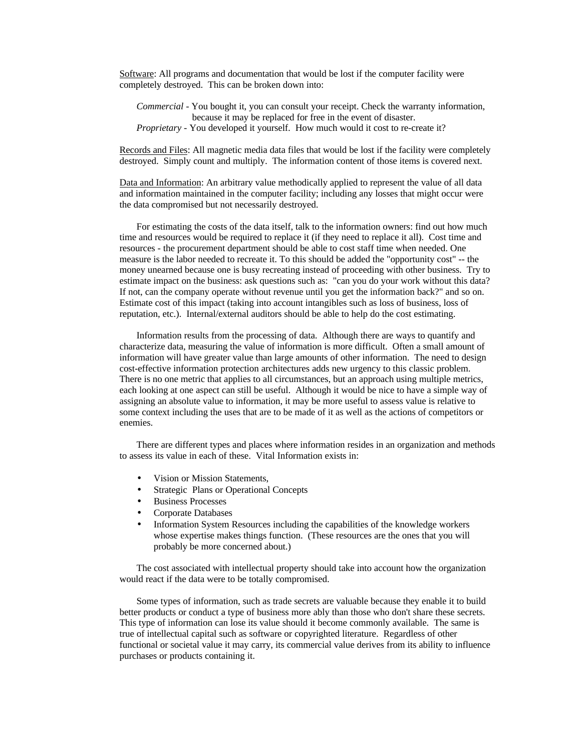Software: All programs and documentation that would be lost if the computer facility were completely destroyed. This can be broken down into:

*Commercial* - You bought it, you can consult your receipt. Check the warranty information, because it may be replaced for free in the event of disaster. *Proprietary* - You developed it yourself. How much would it cost to re-create it?

Records and Files: All magnetic media data files that would be lost if the facility were completely destroyed. Simply count and multiply. The information content of those items is covered next.

Data and Information: An arbitrary value methodically applied to represent the value of all data and information maintained in the computer facility; including any losses that might occur were the data compromised but not necessarily destroyed.

For estimating the costs of the data itself, talk to the information owners: find out how much time and resources would be required to replace it (if they need to replace it all). Cost time and resources - the procurement department should be able to cost staff time when needed. One measure is the labor needed to recreate it. To this should be added the "opportunity cost" -- the money unearned because one is busy recreating instead of proceeding with other business. Try to estimate impact on the business: ask questions such as: "can you do your work without this data? If not, can the company operate without revenue until you get the information back?" and so on. Estimate cost of this impact (taking into account intangibles such as loss of business, loss of reputation, etc.). Internal/external auditors should be able to help do the cost estimating.

Information results from the processing of data. Although there are ways to quantify and characterize data, measuring the value of information is more difficult. Often a small amount of information will have greater value than large amounts of other information. The need to design cost-effective information protection architectures adds new urgency to this classic problem. There is no one metric that applies to all circumstances, but an approach using multiple metrics, each looking at one aspect can still be useful. Although it would be nice to have a simple way of assigning an absolute value to information, it may be more useful to assess value is relative to some context including the uses that are to be made of it as well as the actions of competitors or enemies.

There are different types and places where information resides in an organization and methods to assess its value in each of these. Vital Information exists in:

- Vision or Mission Statements,
- Strategic Plans or Operational Concepts
- Business Processes
- Corporate Databases
- Information System Resources including the capabilities of the knowledge workers whose expertise makes things function. (These resources are the ones that you will probably be more concerned about.)

The cost associated with intellectual property should take into account how the organization would react if the data were to be totally compromised.

 Some types of information, such as trade secrets are valuable because they enable it to build better products or conduct a type of business more ably than those who don't share these secrets. This type of information can lose its value should it become commonly available. The same is true of intellectual capital such as software or copyrighted literature. Regardless of other functional or societal value it may carry, its commercial value derives from its ability to influence purchases or products containing it.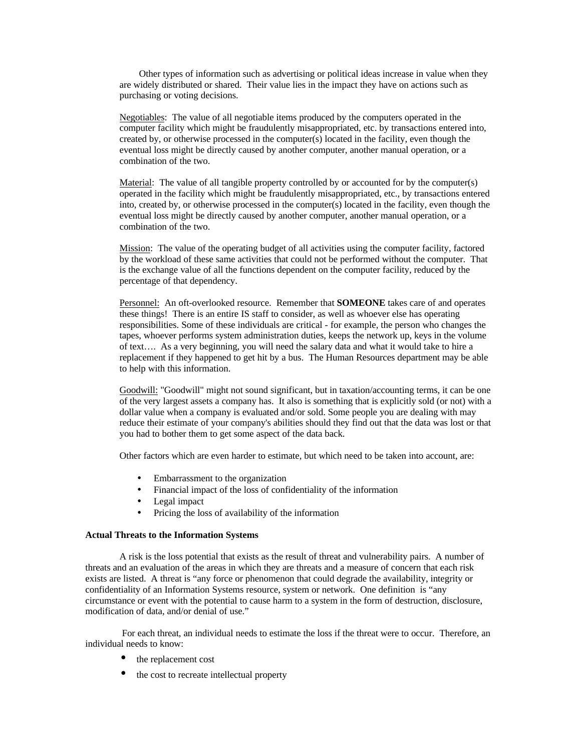Other types of information such as advertising or political ideas increase in value when they are widely distributed or shared. Their value lies in the impact they have on actions such as purchasing or voting decisions.

Negotiables: The value of all negotiable items produced by the computers operated in the computer facility which might be fraudulently misappropriated, etc. by transactions entered into, created by, or otherwise processed in the computer(s) located in the facility, even though the eventual loss might be directly caused by another computer, another manual operation, or a combination of the two.

Material: The value of all tangible property controlled by or accounted for by the computer(s) operated in the facility which might be fraudulently misappropriated, etc., by transactions entered into, created by, or otherwise processed in the computer(s) located in the facility, even though the eventual loss might be directly caused by another computer, another manual operation, or a combination of the two.

Mission: The value of the operating budget of all activities using the computer facility, factored by the workload of these same activities that could not be performed without the computer. That is the exchange value of all the functions dependent on the computer facility, reduced by the percentage of that dependency.

Personnel: An oft-overlooked resource. Remember that **SOMEONE** takes care of and operates these things! There is an entire IS staff to consider, as well as whoever else has operating responsibilities. Some of these individuals are critical - for example, the person who changes the tapes, whoever performs system administration duties, keeps the network up, keys in the volume of text…. As a very beginning, you will need the salary data and what it would take to hire a replacement if they happened to get hit by a bus. The Human Resources department may be able to help with this information.

Goodwill: "Goodwill" might not sound significant, but in taxation/accounting terms, it can be one of the very largest assets a company has. It also is something that is explicitly sold (or not) with a dollar value when a company is evaluated and/or sold. Some people you are dealing with may reduce their estimate of your company's abilities should they find out that the data was lost or that you had to bother them to get some aspect of the data back.

Other factors which are even harder to estimate, but which need to be taken into account, are:

- Embarrassment to the organization
- Financial impact of the loss of confidentiality of the information
- Legal impact
- Pricing the loss of availability of the information

#### **Actual Threats to the Information Systems**

A risk is the loss potential that exists as the result of threat and vulnerability pairs. A number of threats and an evaluation of the areas in which they are threats and a measure of concern that each risk exists are listed. A threat is "any force or phenomenon that could degrade the availability, integrity or confidentiality of an Information Systems resource, system or network. One definition is "any circumstance or event with the potential to cause harm to a system in the form of destruction, disclosure, modification of data, and/or denial of use."

 For each threat, an individual needs to estimate the loss if the threat were to occur. Therefore, an individual needs to know:

- the replacement cost
- the cost to recreate intellectual property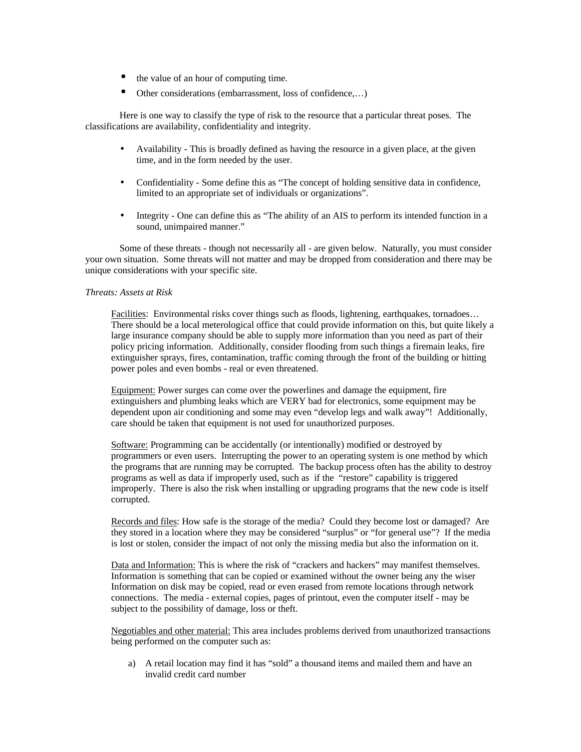- the value of an hour of computing time.
- Other considerations (embarrassment, loss of confidence,…)

Here is one way to classify the type of risk to the resource that a particular threat poses. The classifications are availability, confidentiality and integrity.

- Availability This is broadly defined as having the resource in a given place, at the given time, and in the form needed by the user.
- Confidentiality Some define this as "The concept of holding sensitive data in confidence, limited to an appropriate set of individuals or organizations".
- Integrity One can define this as "The ability of an AIS to perform its intended function in a sound, unimpaired manner."

Some of these threats - though not necessarily all - are given below. Naturally, you must consider your own situation. Some threats will not matter and may be dropped from consideration and there may be unique considerations with your specific site.

#### *Threats: Assets at Risk*

Facilities: Environmental risks cover things such as floods, lightening, earthquakes, tornadoes... There should be a local meterological office that could provide information on this, but quite likely a large insurance company should be able to supply more information than you need as part of their policy pricing information. Additionally, consider flooding from such things a firemain leaks, fire extinguisher sprays, fires, contamination, traffic coming through the front of the building or hitting power poles and even bombs - real or even threatened.

Equipment: Power surges can come over the powerlines and damage the equipment, fire extinguishers and plumbing leaks which are VERY bad for electronics, some equipment may be dependent upon air conditioning and some may even "develop legs and walk away"! Additionally, care should be taken that equipment is not used for unauthorized purposes.

Software: Programming can be accidentally (or intentionally) modified or destroyed by programmers or even users. Interrupting the power to an operating system is one method by which the programs that are running may be corrupted. The backup process often has the ability to destroy programs as well as data if improperly used, such as if the "restore" capability is triggered improperly. There is also the risk when installing or upgrading programs that the new code is itself corrupted.

Records and files: How safe is the storage of the media? Could they become lost or damaged? Are they stored in a location where they may be considered "surplus" or "for general use"? If the media is lost or stolen, consider the impact of not only the missing media but also the information on it.

Data and Information: This is where the risk of "crackers and hackers" may manifest themselves. Information is something that can be copied or examined without the owner being any the wiser Information on disk may be copied, read or even erased from remote locations through network connections. The media - external copies, pages of printout, even the computer itself - may be subject to the possibility of damage, loss or theft.

Negotiables and other material: This area includes problems derived from unauthorized transactions being performed on the computer such as:

a) A retail location may find it has "sold" a thousand items and mailed them and have an invalid credit card number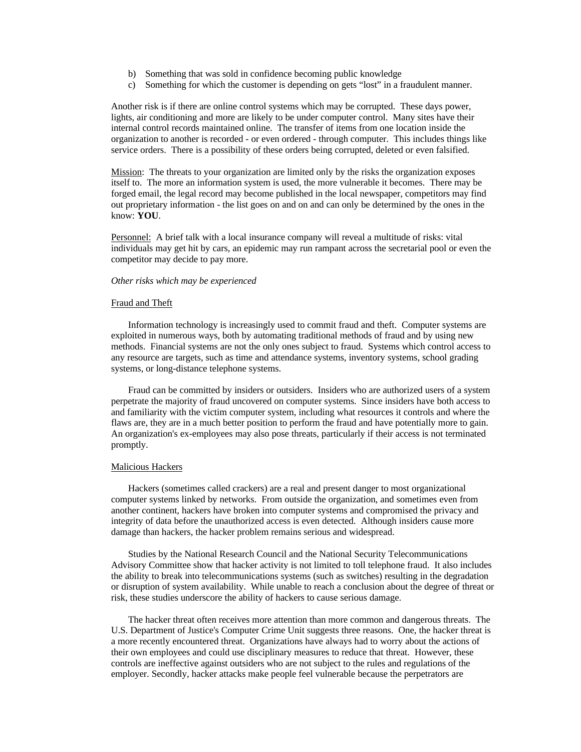- b) Something that was sold in confidence becoming public knowledge
- c) Something for which the customer is depending on gets "lost" in a fraudulent manner.

Another risk is if there are online control systems which may be corrupted. These days power, lights, air conditioning and more are likely to be under computer control. Many sites have their internal control records maintained online. The transfer of items from one location inside the organization to another is recorded - or even ordered - through computer. This includes things like service orders. There is a possibility of these orders being corrupted, deleted or even falsified.

Mission: The threats to your organization are limited only by the risks the organization exposes itself to. The more an information system is used, the more vulnerable it becomes. There may be forged email, the legal record may become published in the local newspaper, competitors may find out proprietary information - the list goes on and on and can only be determined by the ones in the know: **YOU**.

Personnel: A brief talk with a local insurance company will reveal a multitude of risks: vital individuals may get hit by cars, an epidemic may run rampant across the secretarial pool or even the competitor may decide to pay more.

#### *Other risks which may be experienced*

#### Fraud and Theft

Information technology is increasingly used to commit fraud and theft. Computer systems are exploited in numerous ways, both by automating traditional methods of fraud and by using new methods. Financial systems are not the only ones subject to fraud. Systems which control access to any resource are targets, such as time and attendance systems, inventory systems, school grading systems, or long-distance telephone systems.

Fraud can be committed by insiders or outsiders. Insiders who are authorized users of a system perpetrate the majority of fraud uncovered on computer systems. Since insiders have both access to and familiarity with the victim computer system, including what resources it controls and where the flaws are, they are in a much better position to perform the fraud and have potentially more to gain. An organization's ex-employees may also pose threats, particularly if their access is not terminated promptly.

#### Malicious Hackers

Hackers (sometimes called crackers) are a real and present danger to most organizational computer systems linked by networks. From outside the organization, and sometimes even from another continent, hackers have broken into computer systems and compromised the privacy and integrity of data before the unauthorized access is even detected. Although insiders cause more damage than hackers, the hacker problem remains serious and widespread.

Studies by the National Research Council and the National Security Telecommunications Advisory Committee show that hacker activity is not limited to toll telephone fraud. It also includes the ability to break into telecommunications systems (such as switches) resulting in the degradation or disruption of system availability. While unable to reach a conclusion about the degree of threat or risk, these studies underscore the ability of hackers to cause serious damage.

The hacker threat often receives more attention than more common and dangerous threats. The U.S. Department of Justice's Computer Crime Unit suggests three reasons. One, the hacker threat is a more recently encountered threat. Organizations have always had to worry about the actions of their own employees and could use disciplinary measures to reduce that threat. However, these controls are ineffective against outsiders who are not subject to the rules and regulations of the employer. Secondly, hacker attacks make people feel vulnerable because the perpetrators are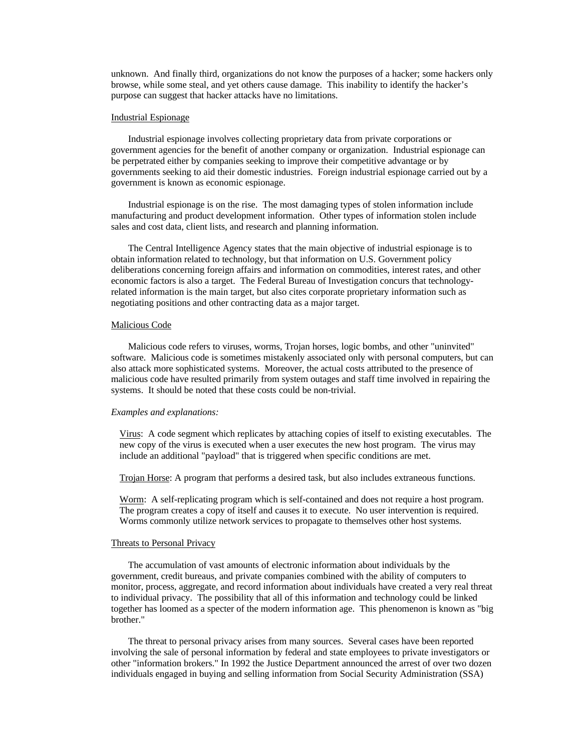unknown. And finally third, organizations do not know the purposes of a hacker; some hackers only browse, while some steal, and yet others cause damage. This inability to identify the hacker's purpose can suggest that hacker attacks have no limitations.

#### Industrial Espionage

Industrial espionage involves collecting proprietary data from private corporations or government agencies for the benefit of another company or organization. Industrial espionage can be perpetrated either by companies seeking to improve their competitive advantage or by governments seeking to aid their domestic industries. Foreign industrial espionage carried out by a government is known as economic espionage.

Industrial espionage is on the rise. The most damaging types of stolen information include manufacturing and product development information. Other types of information stolen include sales and cost data, client lists, and research and planning information.

The Central Intelligence Agency states that the main objective of industrial espionage is to obtain information related to technology, but that information on U.S. Government policy deliberations concerning foreign affairs and information on commodities, interest rates, and other economic factors is also a target. The Federal Bureau of Investigation concurs that technologyrelated information is the main target, but also cites corporate proprietary information such as negotiating positions and other contracting data as a major target.

#### Malicious Code

Malicious code refers to viruses, worms, Trojan horses, logic bombs, and other "uninvited" software. Malicious code is sometimes mistakenly associated only with personal computers, but can also attack more sophisticated systems. Moreover, the actual costs attributed to the presence of malicious code have resulted primarily from system outages and staff time involved in repairing the systems. It should be noted that these costs could be non-trivial.

#### *Examples and explanations:*

Virus: A code segment which replicates by attaching copies of itself to existing executables. The new copy of the virus is executed when a user executes the new host program. The virus may include an additional "payload" that is triggered when specific conditions are met.

Trojan Horse: A program that performs a desired task, but also includes extraneous functions.

Worm: A self-replicating program which is self-contained and does not require a host program. The program creates a copy of itself and causes it to execute. No user intervention is required. Worms commonly utilize network services to propagate to themselves other host systems.

#### Threats to Personal Privacy

The accumulation of vast amounts of electronic information about individuals by the government, credit bureaus, and private companies combined with the ability of computers to monitor, process, aggregate, and record information about individuals have created a very real threat to individual privacy. The possibility that all of this information and technology could be linked together has loomed as a specter of the modern information age. This phenomenon is known as "big brother."

The threat to personal privacy arises from many sources. Several cases have been reported involving the sale of personal information by federal and state employees to private investigators or other "information brokers." In 1992 the Justice Department announced the arrest of over two dozen individuals engaged in buying and selling information from Social Security Administration (SSA)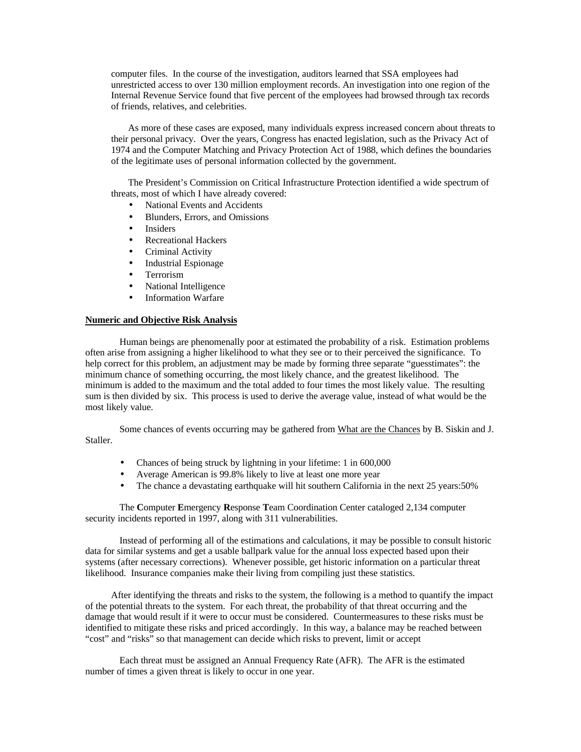computer files. In the course of the investigation, auditors learned that SSA employees had unrestricted access to over 130 million employment records. An investigation into one region of the Internal Revenue Service found that five percent of the employees had browsed through tax records of friends, relatives, and celebrities.

As more of these cases are exposed, many individuals express increased concern about threats to their personal privacy. Over the years, Congress has enacted legislation, such as the Privacy Act of 1974 and the Computer Matching and Privacy Protection Act of 1988, which defines the boundaries of the legitimate uses of personal information collected by the government.

The President's Commission on Critical Infrastructure Protection identified a wide spectrum of threats, most of which I have already covered:

- National Events and Accidents
- Blunders, Errors, and Omissions
- **Insiders**
- Recreational Hackers
- Criminal Activity
- Industrial Espionage
- Terrorism
- National Intelligence
- Information Warfare

#### **Numeric and Objective Risk Analysis**

Human beings are phenomenally poor at estimated the probability of a risk. Estimation problems often arise from assigning a higher likelihood to what they see or to their perceived the significance. To help correct for this problem, an adjustment may be made by forming three separate "guesstimates": the minimum chance of something occurring, the most likely chance, and the greatest likelihood. The minimum is added to the maximum and the total added to four times the most likely value. The resulting sum is then divided by six. This process is used to derive the average value, instead of what would be the most likely value.

Some chances of events occurring may be gathered from What are the Chances by B. Siskin and J. Staller.

- Chances of being struck by lightning in your lifetime: 1 in 600,000
- Average American is 99.8% likely to live at least one more year
- The chance a devastating earthquake will hit southern California in the next 25 years:50%

The **C**omputer **E**mergency **R**esponse **T**eam Coordination Center cataloged 2,134 computer security incidents reported in 1997, along with 311 vulnerabilities.

Instead of performing all of the estimations and calculations, it may be possible to consult historic data for similar systems and get a usable ballpark value for the annual loss expected based upon their systems (after necessary corrections). Whenever possible, get historic information on a particular threat likelihood. Insurance companies make their living from compiling just these statistics.

After identifying the threats and risks to the system, the following is a method to quantify the impact of the potential threats to the system. For each threat, the probability of that threat occurring and the damage that would result if it were to occur must be considered. Countermeasures to these risks must be identified to mitigate these risks and priced accordingly. In this way, a balance may be reached between "cost" and "risks" so that management can decide which risks to prevent, limit or accept

Each threat must be assigned an Annual Frequency Rate (AFR). The AFR is the estimated number of times a given threat is likely to occur in one year.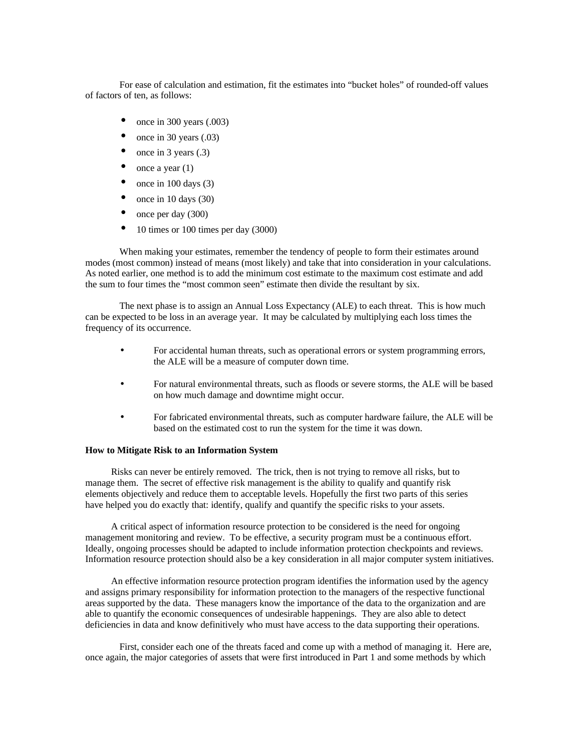For ease of calculation and estimation, fit the estimates into "bucket holes" of rounded-off values of factors of ten, as follows:

- once in 300 years  $(.003)$
- once in 30 years  $(.03)$
- once in 3 years  $(.3)$
- once a year  $(1)$
- once in  $100 \text{ days}$  (3)
- once in 10 days  $(30)$
- once per day  $(300)$
- 10 times or 100 times per day (3000)

When making your estimates, remember the tendency of people to form their estimates around modes (most common) instead of means (most likely) and take that into consideration in your calculations. As noted earlier, one method is to add the minimum cost estimate to the maximum cost estimate and add the sum to four times the "most common seen" estimate then divide the resultant by six.

The next phase is to assign an Annual Loss Expectancy (ALE) to each threat. This is how much can be expected to be loss in an average year. It may be calculated by multiplying each loss times the frequency of its occurrence.

- For accidental human threats, such as operational errors or system programming errors, the ALE will be a measure of computer down time.
- For natural environmental threats, such as floods or severe storms, the ALE will be based on how much damage and downtime might occur.
- For fabricated environmental threats, such as computer hardware failure, the ALE will be based on the estimated cost to run the system for the time it was down.

#### **How to Mitigate Risk to an Information System**

Risks can never be entirely removed. The trick, then is not trying to remove all risks, but to manage them. The secret of effective risk management is the ability to qualify and quantify risk elements objectively and reduce them to acceptable levels. Hopefully the first two parts of this series have helped you do exactly that: identify, qualify and quantify the specific risks to your assets.

A critical aspect of information resource protection to be considered is the need for ongoing management monitoring and review. To be effective, a security program must be a continuous effort. Ideally, ongoing processes should be adapted to include information protection checkpoints and reviews. Information resource protection should also be a key consideration in all major computer system initiatives.

An effective information resource protection program identifies the information used by the agency and assigns primary responsibility for information protection to the managers of the respective functional areas supported by the data. These managers know the importance of the data to the organization and are able to quantify the economic consequences of undesirable happenings. They are also able to detect deficiencies in data and know definitively who must have access to the data supporting their operations.

First, consider each one of the threats faced and come up with a method of managing it. Here are, once again, the major categories of assets that were first introduced in Part 1 and some methods by which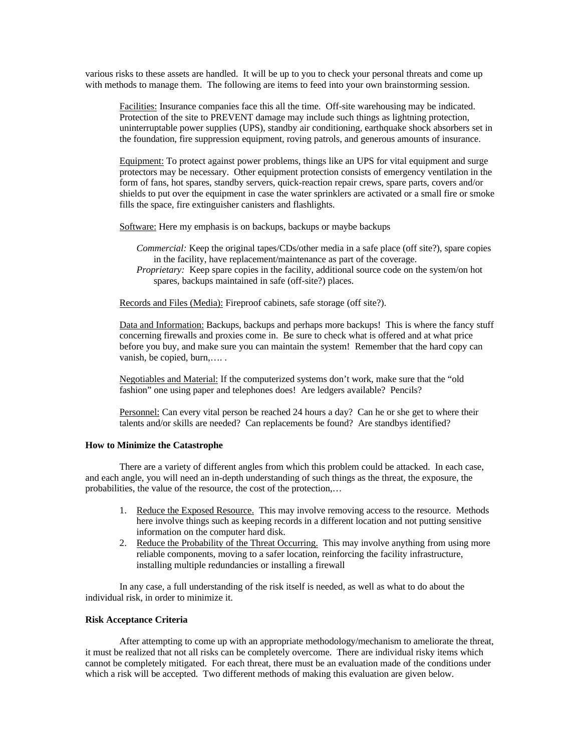various risks to these assets are handled. It will be up to you to check your personal threats and come up with methods to manage them. The following are items to feed into your own brainstorming session.

Facilities: Insurance companies face this all the time. Off-site warehousing may be indicated. Protection of the site to PREVENT damage may include such things as lightning protection, uninterruptable power supplies (UPS), standby air conditioning, earthquake shock absorbers set in the foundation, fire suppression equipment, roving patrols, and generous amounts of insurance.

Equipment: To protect against power problems, things like an UPS for vital equipment and surge protectors may be necessary. Other equipment protection consists of emergency ventilation in the form of fans, hot spares, standby servers, quick-reaction repair crews, spare parts, covers and/or shields to put over the equipment in case the water sprinklers are activated or a small fire or smoke fills the space, fire extinguisher canisters and flashlights.

Software: Here my emphasis is on backups, backups or maybe backups

- *Commercial:* Keep the original tapes/CDs/other media in a safe place (off site?), spare copies in the facility, have replacement/maintenance as part of the coverage.
- *Proprietary:* Keep spare copies in the facility, additional source code on the system/on hot spares, backups maintained in safe (off-site?) places.

Records and Files (Media): Fireproof cabinets, safe storage (off site?).

Data and Information: Backups, backups and perhaps more backups! This is where the fancy stuff concerning firewalls and proxies come in. Be sure to check what is offered and at what price before you buy, and make sure you can maintain the system! Remember that the hard copy can vanish, be copied, burn,…. .

Negotiables and Material: If the computerized systems don't work, make sure that the "old fashion" one using paper and telephones does! Are ledgers available? Pencils?

Personnel: Can every vital person be reached 24 hours a day? Can he or she get to where their talents and/or skills are needed? Can replacements be found? Are standbys identified?

#### **How to Minimize the Catastrophe**

There are a variety of different angles from which this problem could be attacked. In each case, and each angle, you will need an in-depth understanding of such things as the threat, the exposure, the probabilities, the value of the resource, the cost of the protection,…

- 1. Reduce the Exposed Resource. This may involve removing access to the resource. Methods here involve things such as keeping records in a different location and not putting sensitive information on the computer hard disk.
- 2. Reduce the Probability of the Threat Occurring. This may involve anything from using more reliable components, moving to a safer location, reinforcing the facility infrastructure, installing multiple redundancies or installing a firewall

In any case, a full understanding of the risk itself is needed, as well as what to do about the individual risk, in order to minimize it.

#### **Risk Acceptance Criteria**

After attempting to come up with an appropriate methodology/mechanism to ameliorate the threat, it must be realized that not all risks can be completely overcome. There are individual risky items which cannot be completely mitigated. For each threat, there must be an evaluation made of the conditions under which a risk will be accepted. Two different methods of making this evaluation are given below.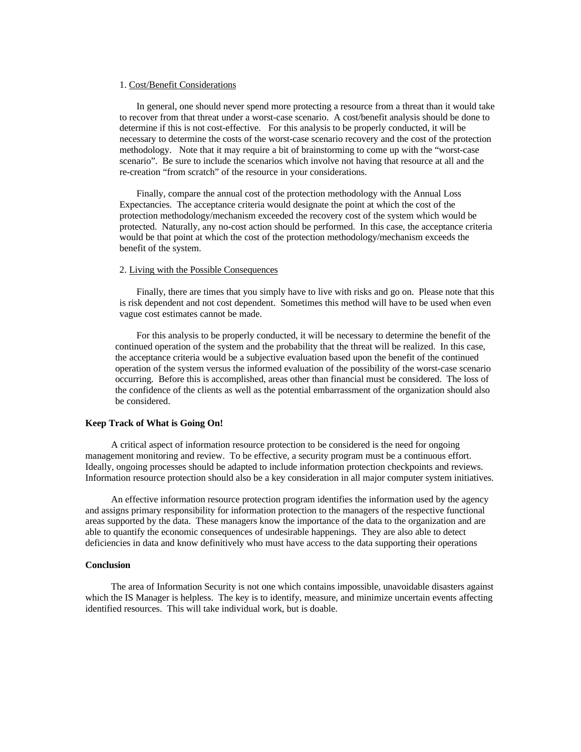#### 1. Cost/Benefit Considerations

In general, one should never spend more protecting a resource from a threat than it would take to recover from that threat under a worst-case scenario. A cost/benefit analysis should be done to determine if this is not cost-effective. For this analysis to be properly conducted, it will be necessary to determine the costs of the worst-case scenario recovery and the cost of the protection methodology. Note that it may require a bit of brainstorming to come up with the "worst-case scenario". Be sure to include the scenarios which involve not having that resource at all and the re-creation "from scratch" of the resource in your considerations.

Finally, compare the annual cost of the protection methodology with the Annual Loss Expectancies. The acceptance criteria would designate the point at which the cost of the protection methodology/mechanism exceeded the recovery cost of the system which would be protected. Naturally, any no-cost action should be performed. In this case, the acceptance criteria would be that point at which the cost of the protection methodology/mechanism exceeds the benefit of the system.

#### 2. Living with the Possible Consequences

Finally, there are times that you simply have to live with risks and go on. Please note that this is risk dependent and not cost dependent. Sometimes this method will have to be used when even vague cost estimates cannot be made.

For this analysis to be properly conducted, it will be necessary to determine the benefit of the continued operation of the system and the probability that the threat will be realized. In this case, the acceptance criteria would be a subjective evaluation based upon the benefit of the continued operation of the system versus the informed evaluation of the possibility of the worst-case scenario occurring. Before this is accomplished, areas other than financial must be considered. The loss of the confidence of the clients as well as the potential embarrassment of the organization should also be considered.

#### **Keep Track of What is Going On!**

A critical aspect of information resource protection to be considered is the need for ongoing management monitoring and review. To be effective, a security program must be a continuous effort. Ideally, ongoing processes should be adapted to include information protection checkpoints and reviews. Information resource protection should also be a key consideration in all major computer system initiatives.

An effective information resource protection program identifies the information used by the agency and assigns primary responsibility for information protection to the managers of the respective functional areas supported by the data. These managers know the importance of the data to the organization and are able to quantify the economic consequences of undesirable happenings. They are also able to detect deficiencies in data and know definitively who must have access to the data supporting their operations

#### **Conclusion**

The area of Information Security is not one which contains impossible, unavoidable disasters against which the IS Manager is helpless. The key is to identify, measure, and minimize uncertain events affecting identified resources. This will take individual work, but is doable.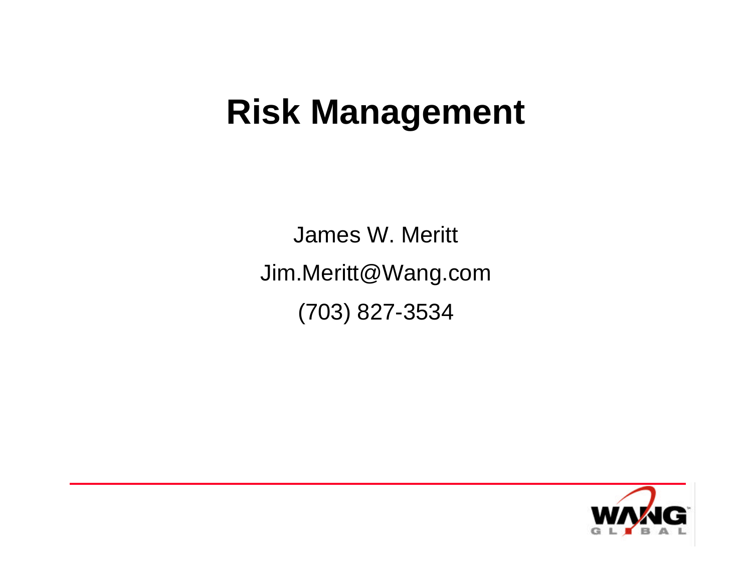### **Risk Management**

James W. Meritt Jim.Meritt@Wang.com (703) 827-3534

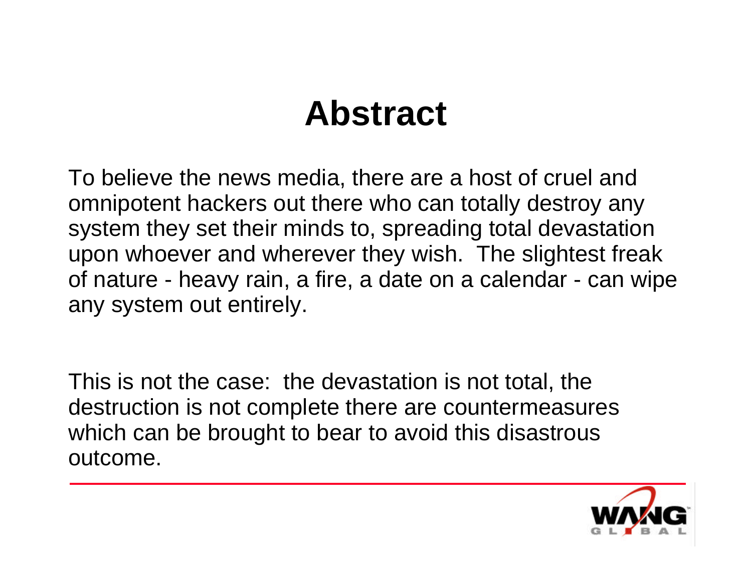### **Abstract**

To believe the news media, there are a host of cruel and omnipotent hackers out there who can totally destroy any system they set their minds to, spreading total devastation upon whoever and wherever they wish. The slightest freak of nature - heavy rain, a fire, a date on a calendar - can wipe any system out entirely.

This is not the case: the devastation is not total, the destruction is not complete there are countermeasures which can be brought to bear to avoid this disastrous outcome.

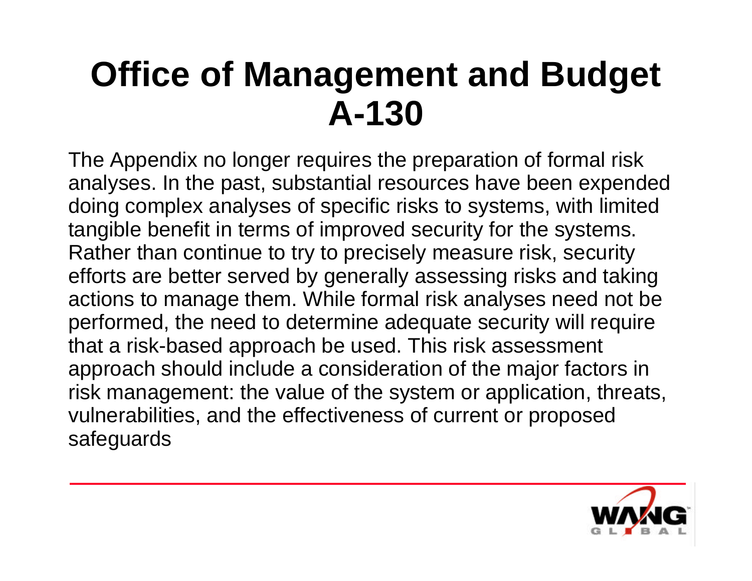# **Office of Management and Budget A-130**

The Appendix no longer requires the preparation of formal risk analyses. In the past, substantial resources have been expended doing complex analyses of specific risks to systems, with limited tangible benefit in terms of improved security for the systems. Rather than continue to try to precisely measure risk, security efforts are better served by generally assessing risks and taking actions to manage them. While formal risk analyses need not be performed, the need to determine adequate security will require that a risk-based approach be used. This risk assessment approach should include a consideration of the major factors in risk management: the value of the system or application, threats, vulnerabilities, and the effectiveness of current or proposed safeguards

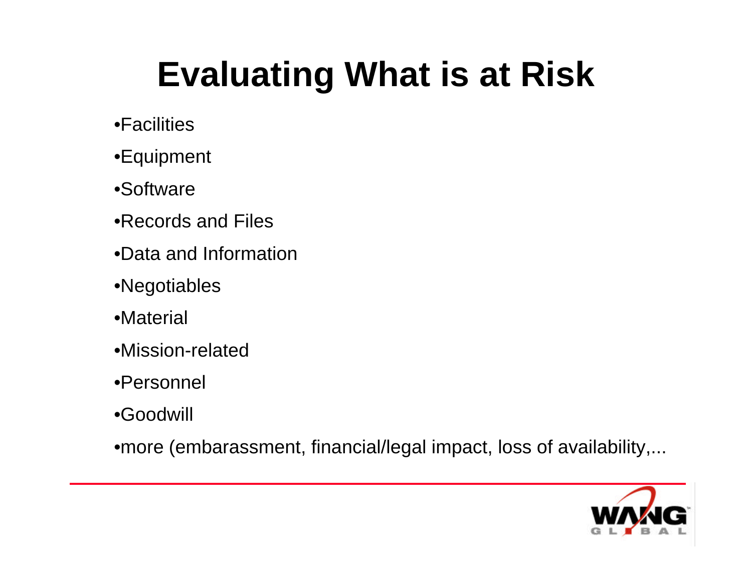# **Evaluating What is at Risk**

- •Facilities
- •Equipment
- •Software
- •Records and Files
- •Data and Information
- •Negotiables
- •Material
- •Mission-related
- •Personnel
- •Goodwill

•more (embarassment, financial/legal impact, loss of availability,...

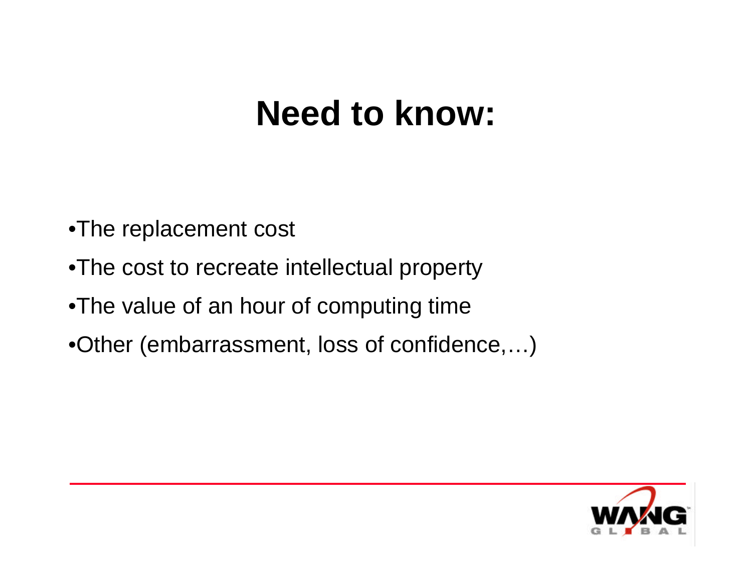### **Need to know:**

- •The replacement cost
- •The cost to recreate intellectual property
- •The value of an hour of computing time
- •Other (embarrassment, loss of confidence,…)

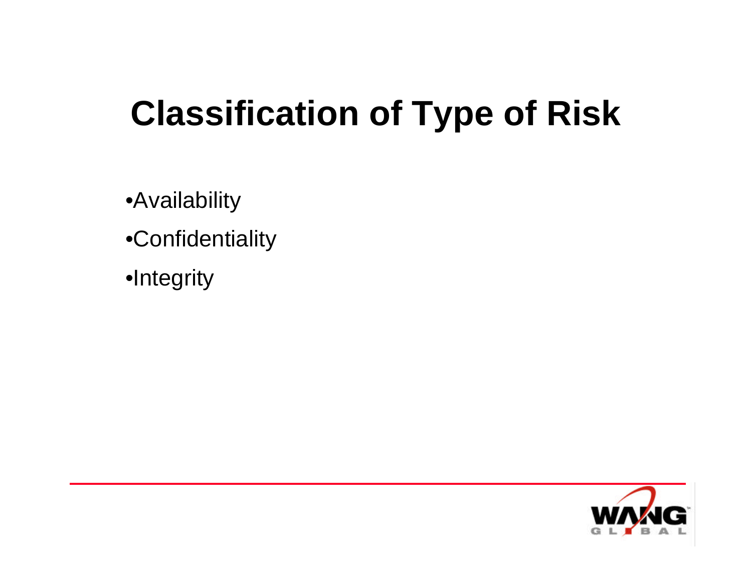# **Classification of Type of Risk**

•Availability

- •Confidentiality
- •Integrity

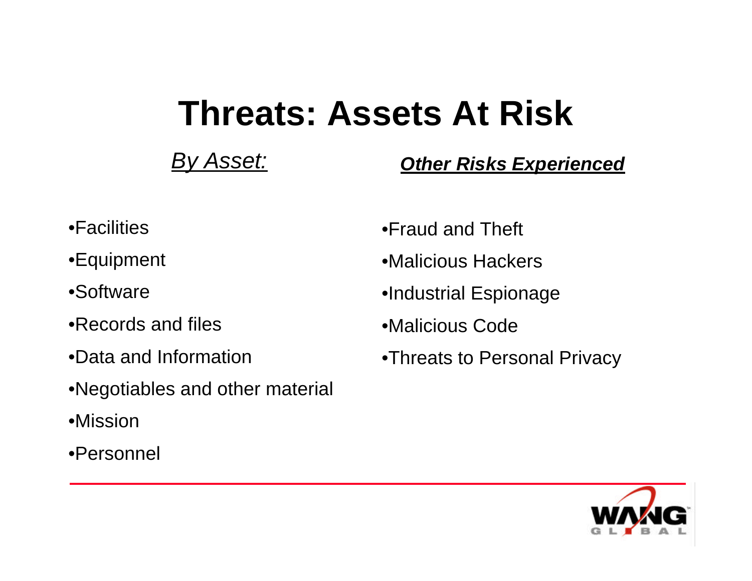### **Threats: Assets At Risk**

*By Asset:*

*Other Risks Experienced*

- •Facilities
- •Equipment
- •Software
- •Records and files
- •Data and Information
- •Negotiables and other material
- •Mission
- •Personnel
- •Fraud and Theft
- •Malicious Hackers
- •Industrial Espionage
- •Malicious Code
- •Threats to Personal Privacy

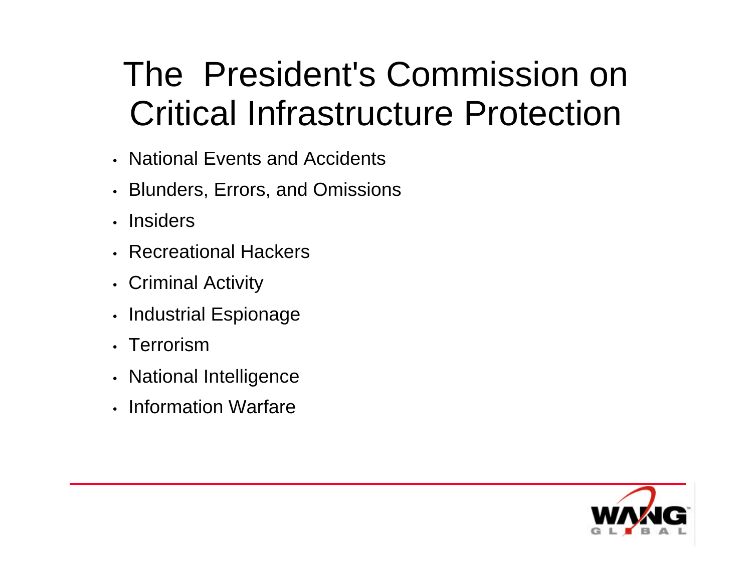# The President's Commission on Critical Infrastructure Protection

- National Events and Accidents
- Blunders, Errors, and Omissions
- Insiders
- Recreational Hackers
- Criminal Activity
- Industrial Espionage
- Terrorism
- National Intelligence
- Information Warfare

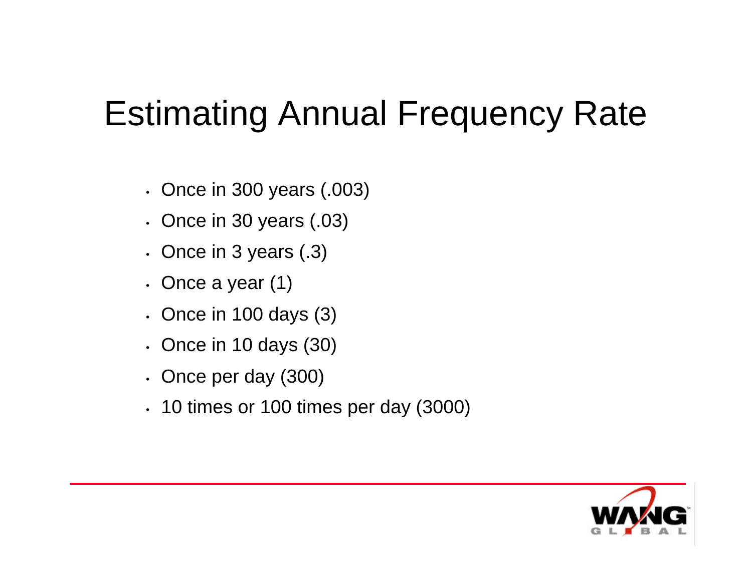### Estimating Annual Frequency Rate

- Once in 300 years (.003)
- Once in 30 years (.03)
- Once in 3 years (.3)
- Once a year (1)
- Once in 100 days (3)
- Once in 10 days (30)
- Once per day (300)
- 10 times or 100 times per day (3000)

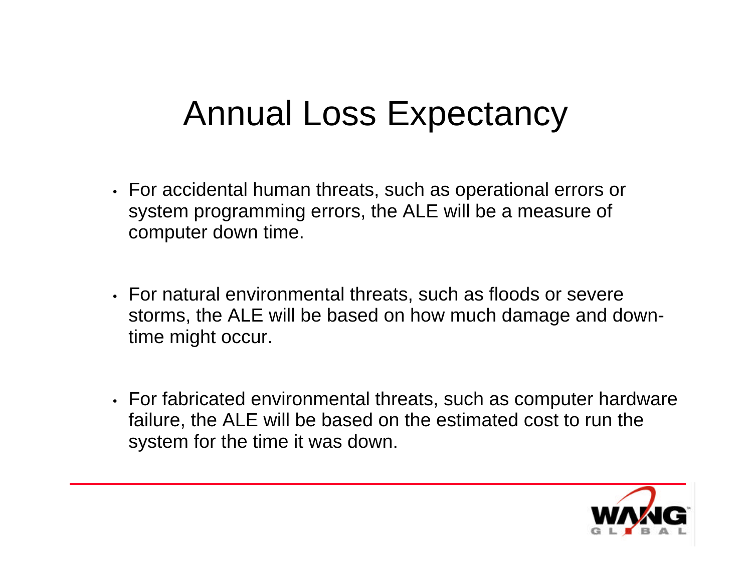### Annual Loss Expectancy

- For accidental human threats, such as operational errors or system programming errors, the ALE will be a measure of computer down time.
- For natural environmental threats, such as floods or severe storms, the ALE will be based on how much damage and downtime might occur.
- For fabricated environmental threats, such as computer hardware failure, the ALE will be based on the estimated cost to run the system for the time it was down.

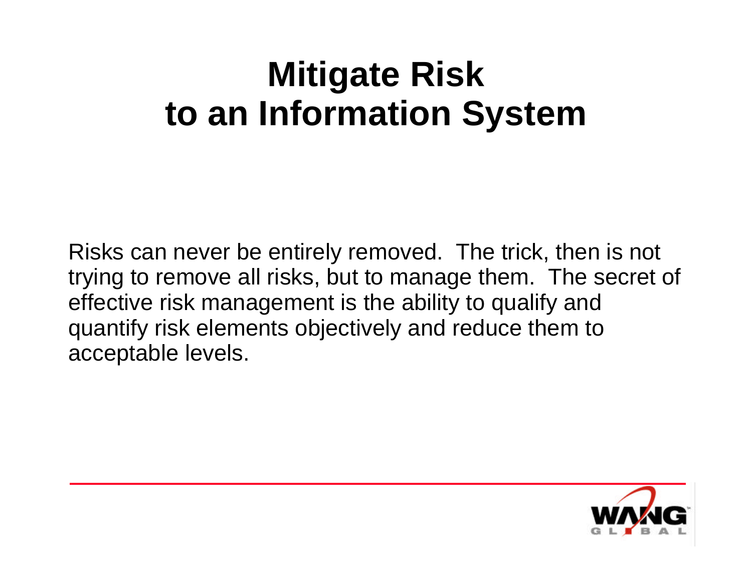## **Mitigate Risk to an Information System**

Risks can never be entirely removed. The trick, then is not trying to remove all risks, but to manage them. The secret of effective risk management is the ability to qualify and quantify risk elements objectively and reduce them to acceptable levels.

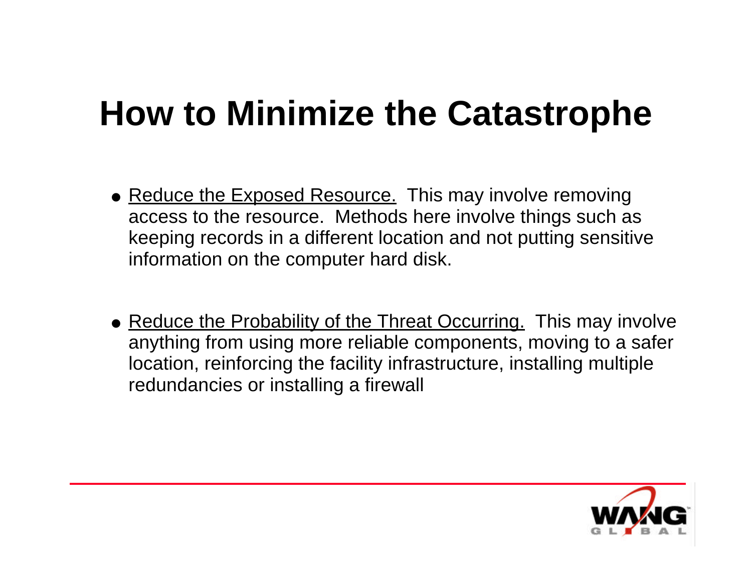## **How to Minimize the Catastrophe**

- Reduce the Exposed Resource. This may involve removing access to the resource. Methods here involve things such as keeping records in a different location and not putting sensitive information on the computer hard disk.
- Reduce the Probability of the Threat Occurring. This may involve anything from using more reliable components, moving to a safer location, reinforcing the facility infrastructure, installing multiple redundancies or installing a firewall

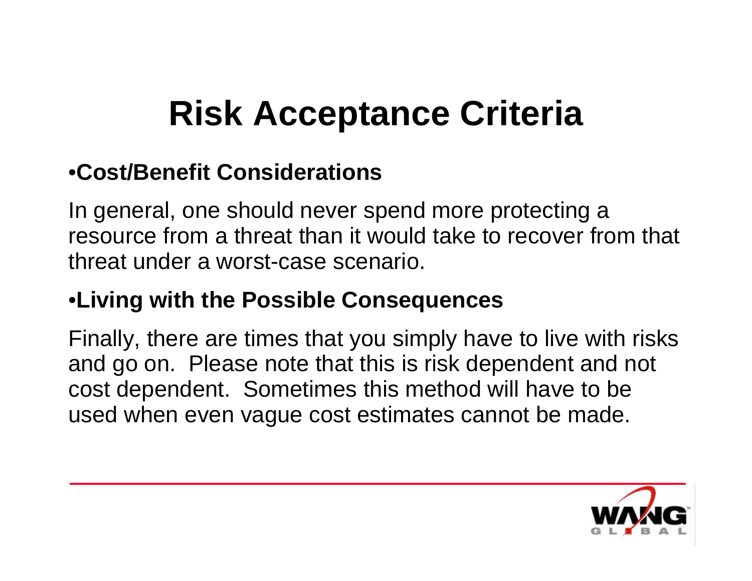# **Risk Acceptance Criteria**

### •**Cost/Benefit Considerations**

In general, one should never spend more protecting a resource from a threat than it would take to recover from that threat under a worst-case scenario.

### •**Living with the Possible Consequences**

Finally, there are times that you simply have to live with risks and go on. Please note that this is risk dependent and not cost dependent. Sometimes this method will have to be used when even vague cost estimates cannot be made.